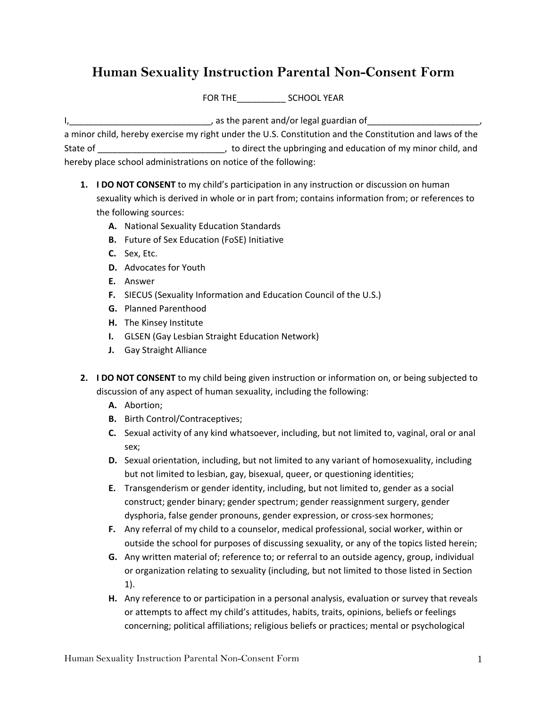## **Human Sexuality Instruction Parental Non-Consent Form**

FOR THE SCHOOL YEAR

I, the parent and/or legal guardian of the state of the state of the state of the state of the state of the state of the state of the state of the state of the state of the state of the state of the state of the state of t a minor child, hereby exercise my right under the U.S. Constitution and the Constitution and laws of the State of \_\_\_\_\_\_\_\_\_\_\_\_\_\_\_\_\_\_\_\_\_\_\_\_\_\_, to direct the upbringing and education of my minor child, and hereby place school administrations on notice of the following:

- **1. I DO NOT CONSENT** to my child's participation in any instruction or discussion on human sexuality which is derived in whole or in part from; contains information from; or references to the following sources:
	- **A.** National Sexuality Education Standards
	- **B.** Future of Sex Education (FoSE) Initiative
	- **C.** Sex, Etc.
	- **D.** Advocates for Youth
	- **E.** Answer
	- **F.** SIECUS (Sexuality Information and Education Council of the U.S.)
	- **G.** Planned Parenthood
	- **H.** The Kinsey Institute
	- **I.** GLSEN (Gay Lesbian Straight Education Network)
	- **J.** Gay Straight Alliance
- **2. I DO NOT CONSENT** to my child being given instruction or information on, or being subjected to discussion of any aspect of human sexuality, including the following:
	- **A.** Abortion;
	- **B.** Birth Control/Contraceptives;
	- **C.** Sexual activity of any kind whatsoever, including, but not limited to, vaginal, oral or anal sex;
	- **D.** Sexual orientation, including, but not limited to any variant of homosexuality, including but not limited to lesbian, gay, bisexual, queer, or questioning identities;
	- **E.** Transgenderism or gender identity, including, but not limited to, gender as a social construct; gender binary; gender spectrum; gender reassignment surgery, gender dysphoria, false gender pronouns, gender expression, or cross‐sex hormones;
	- **F.** Any referral of my child to a counselor, medical professional, social worker, within or outside the school for purposes of discussing sexuality, or any of the topics listed herein;
	- **G.** Any written material of; reference to; or referral to an outside agency, group, individual or organization relating to sexuality (including, but not limited to those listed in Section 1).
	- **H.** Any reference to or participation in a personal analysis, evaluation or survey that reveals or attempts to affect my child's attitudes, habits, traits, opinions, beliefs or feelings concerning; political affiliations; religious beliefs or practices; mental or psychological